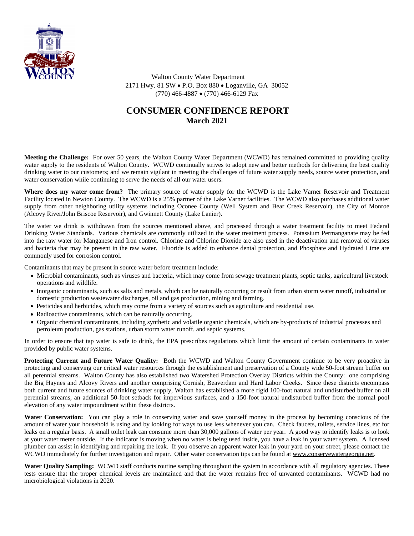

 Walton County Water Department 2171 Hwy. 81 SW · P.O. Box 880 · Loganville, GA 30052 (770) 466-4887 · (770) 466-6129 Fax

## **CONSUMER CONFIDENCE REPORT March 2021**

**Meeting the Challenge:** For over 50 years, the Walton County Water Department (WCWD) has remained committed to providing quality water supply to the residents of Walton County. WCWD continually strives to adopt new and better methods for delivering the best quality drinking water to our customers; and we remain vigilant in meeting the challenges of future water supply needs, source water protection, and water conservation while continuing to serve the needs of all our water users.

**Where does my water come from?** The primary source of water supply for the WCWD is the Lake Varner Reservoir and Treatment Facility located in Newton County. The WCWD is a 25% partner of the Lake Varner facilities. The WCWD also purchases additional water supply from other neighboring utility systems including Oconee County (Well System and Bear Creek Reservoir), the City of Monroe (Alcovy River/John Briscoe Reservoir), and Gwinnett County (Lake Lanier).

The water we drink is withdrawn from the sources mentioned above, and processed through a water treatment facility to meet Federal Drinking Water Standards. Various chemicals are commonly utilized in the water treatment process. Potassium Permanganate may be fed into the raw water for Manganese and Iron control. Chlorine and Chlorine Dioxide are also used in the deactivation and removal of viruses and bacteria that may be present in the raw water. Fluoride is added to enhance dental protection, and Phosphate and Hydrated Lime are commonly used for corrosion control.

Contaminants that may be present in source water before treatment include:

- · Microbial contaminants, such as viruses and bacteria, which may come from sewage treatment plants, septic tanks, agricultural livestock operations and wildlife.
- · Inorganic contaminants, such as salts and metals, which can be naturally occurring or result from urban storm water runoff, industrial or domestic production wastewater discharges, oil and gas production, mining and farming.
- · Pesticides and herbicides, which may come from a variety of sources such as agriculture and residential use.
- Radioactive contaminants, which can be naturally occurring.
- · Organic chemical contaminants, including synthetic and volatile organic chemicals, which are by-products of industrial processes and petroleum production, gas stations, urban storm water runoff, and septic systems.

In order to ensure that tap water is safe to drink, the EPA prescribes regulations which limit the amount of certain contaminants in water provided by public water systems.

**Protecting Current and Future Water Quality:** Both the WCWD and Walton County Government continue to be very proactive in protecting and conserving our critical water resources through the establishment and preservation of a County wide 50-foot stream buffer on all perennial streams. Walton County has also established two Watershed Protection Overlay Districts within the County: one comprising the Big Haynes and Alcovy Rivers and another comprising Cornish, Beaverdam and Hard Labor Creeks. Since these districts encompass both current and future sources of drinking water supply, Walton has established a more rigid 100-foot natural and undisturbed buffer on all perennial streams, an additional 50-foot setback for impervious surfaces, and a 150-foot natural undisturbed buffer from the normal pool elevation of any water impoundment within these districts.

**Water Conservation:** You can play a role in conserving water and save yourself money in the process by becoming conscious of the amount of water your household is using and by looking for ways to use less whenever you can. Check faucets, toilets, service lines, etc for leaks on a regular basis. A small toilet leak can consume more than 30,000 gallons of water per year. A good way to identify leaks is to look at your water meter outside. If the indicator is moving when no water is being used inside, you have a leak in your water system. A licensed plumber can assist in identifying and repairing the leak. If you observe an apparent water leak in your yard on your street, please contact the WCWD immediately for further investigation and repair. Other water conservation tips can be found at [www.conservewatergeorgia.net](http://www.conservewatergeorgia.net).

**Water Quality Sampling:** WCWD staff conducts routine sampling throughout the system in accordance with all regulatory agencies. These tests ensure that the proper chemical levels are maintained and that the water remains free of unwanted contaminants. WCWD had no microbiological violations in 2020.